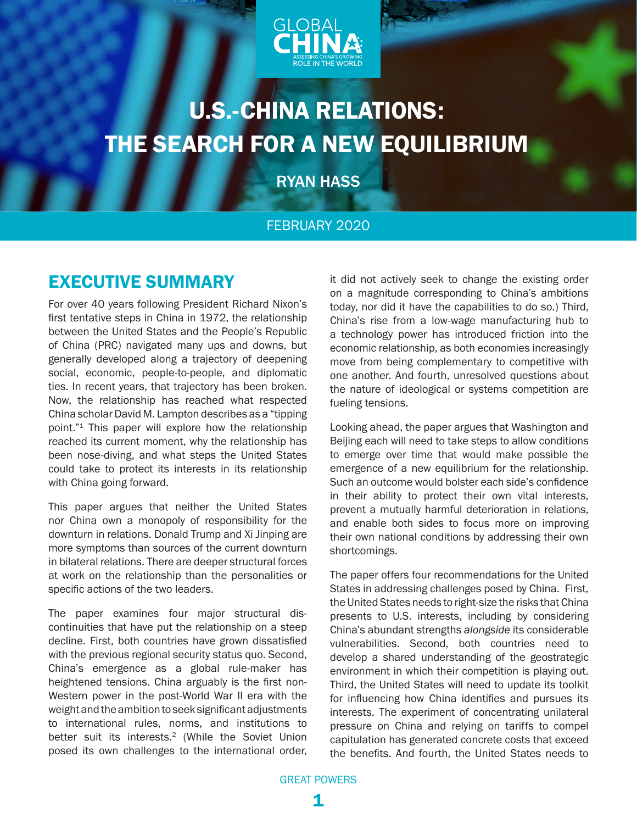

# <span id="page-0-0"></span>U.S.-CHINA RELATIONS: THE SEARCH FOR A NEW EQUILIBRIUM

RYAN HASS

### FEBRUARY 2020

### EXECUTIVE SUMMARY

For over 40 years following President Richard Nixon's first tentative steps in China in 1972, the relationship between the United States and the People's Republic of China (PRC) navigated many ups and downs, but generally developed along a trajectory of deepening social, economic, people-to-people, and diplomatic ties. In recent years, that trajectory has been broken. Now, the relationship has reached what respected China scholar David M. Lampton describes as a "tipping point."[1](#page-13-0) This paper will explore how the relationship reached its current moment, why the relationship has been nose-diving, and what steps the United States could take to protect its interests in its relationship with China going forward.

This paper argues that neither the United States nor China own a monopoly of responsibility for the downturn in relations. Donald Trump and Xi Jinping are more symptoms than sources of the current downturn in bilateral relations. There are deeper structural forces at work on the relationship than the personalities or specific actions of the two leaders.

The paper examines four major structural discontinuities that have put the relationship on a steep decline. First, both countries have grown dissatisfied with the previous regional security status quo. Second, China's emergence as a global rule-maker has heightened tensions. China arguably is the first non-Western power in the post-World War II era with the weight and the ambition to seek significant adjustments to international rules, norms, and institutions to better suit its interests.<sup>[2](#page-13-0)</sup> (While the Soviet Union posed its own challenges to the international order,

it did not actively seek to change the existing order on a magnitude corresponding to China's ambitions today, nor did it have the capabilities to do so.) Third, China's rise from a low-wage manufacturing hub to a technology power has introduced friction into the economic relationship, as both economies increasingly move from being complementary to competitive with one another. And fourth, unresolved questions about the nature of ideological or systems competition are fueling tensions.

Looking ahead, the paper argues that Washington and Beijing each will need to take steps to allow conditions to emerge over time that would make possible the emergence of a new equilibrium for the relationship. Such an outcome would bolster each side's confidence in their ability to protect their own vital interests, prevent a mutually harmful deterioration in relations, and enable both sides to focus more on improving their own national conditions by addressing their own shortcomings.

The paper offers four recommendations for the United States in addressing challenges posed by China. First, the United States needs to right-size the risks that China presents to U.S. interests, including by considering China's abundant strengths *alongside* its considerable vulnerabilities. Second, both countries need to develop a shared understanding of the geostrategic environment in which their competition is playing out. Third, the United States will need to update its toolkit for influencing how China identifies and pursues its interests. The experiment of concentrating unilateral pressure on China and relying on tariffs to compel capitulation has generated concrete costs that exceed the benefits. And fourth, the United States needs to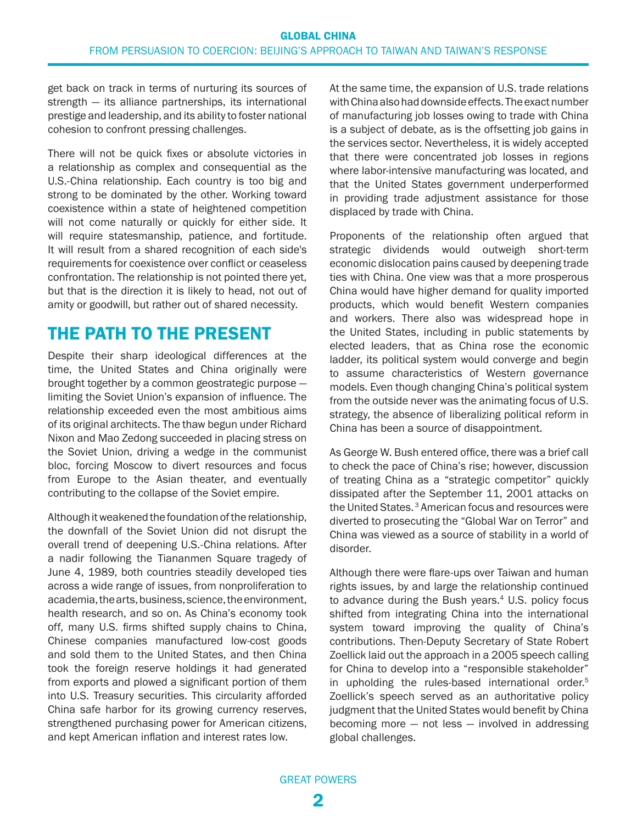<span id="page-1-0"></span>get back on track in terms of nurturing its sources of strength — its alliance partnerships, its international prestige and leadership, and its ability to foster national cohesion to confront pressing challenges.

There will not be quick fixes or absolute victories in a relationship as complex and consequential as the U.S.-China relationship. Each country is too big and strong to be dominated by the other. Working toward coexistence within a state of heightened competition will not come naturally or quickly for either side. It will require statesmanship, patience, and fortitude. It will result from a shared recognition of each side's requirements for coexistence over conflict or ceaseless confrontation. The relationship is not pointed there yet, but that is the direction it is likely to head, not out of amity or goodwill, but rather out of shared necessity.

### THE PATH TO THE PRESENT

Despite their sharp ideological differences at the time, the United States and China originally were brought together by a common geostrategic purpose limiting the Soviet Union's expansion of influence. The relationship exceeded even the most ambitious aims of its original architects. The thaw begun under Richard Nixon and Mao Zedong succeeded in placing stress on the Soviet Union, driving a wedge in the communist bloc, forcing Moscow to divert resources and focus from Europe to the Asian theater, and eventually contributing to the collapse of the Soviet empire.

Although it weakened the foundation of the relationship, the downfall of the Soviet Union did not disrupt the overall trend of deepening U.S.-China relations. After a nadir following the Tiananmen Square tragedy of June 4, 1989, both countries steadily developed ties across a wide range of issues, from nonproliferation to academia, the arts, business, science, the environment, health research, and so on. As China's economy took off, many U.S. firms shifted supply chains to China, Chinese companies manufactured low-cost goods and sold them to the United States, and then China took the foreign reserve holdings it had generated from exports and plowed a significant portion of them into U.S. Treasury securities. This circularity afforded China safe harbor for its growing currency reserves, strengthened purchasing power for American citizens, and kept American inflation and interest rates low.

At the same time, the expansion of U.S. trade relations with China also had downside effects. The exact number of manufacturing job losses owing to trade with China is a subject of debate, as is the offsetting job gains in the services sector. Nevertheless, it is widely accepted that there were concentrated job losses in regions where labor-intensive manufacturing was located, and that the United States government underperformed in providing trade adjustment assistance for those displaced by trade with China.

Proponents of the relationship often argued that strategic dividends would outweigh short-term economic dislocation pains caused by deepening trade ties with China. One view was that a more prosperous China would have higher demand for quality imported products, which would benefit Western companies and workers. There also was widespread hope in the United States, including in public statements by elected leaders, that as China rose the economic ladder, its political system would converge and begin to assume characteristics of Western governance models. Even though changing China's political system from the outside never was the animating focus of U.S. strategy, the absence of liberalizing political reform in China has been a source of disappointment.

As George W. Bush entered office, there was a brief call to check the pace of China's rise; however, discussion of treating China as a "strategic competitor" quickly dissipated after the September 11, 2001 attacks on the United States. [3](#page-13-0) American focus and resources were diverted to prosecuting the "Global War on Terror" and China was viewed as a source of stability in a world of disorder.

Although there were flare-ups over Taiwan and human rights issues, by and large the relationship continued to advance during the Bush years. $4$  U.S. policy focus shifted from integrating China into the international system toward improving the quality of China's contributions. Then-Deputy Secretary of State Robert Zoellick laid out the approach in a 2005 [speech](https://www.ncuscr.org/sites/default/files/migration/Zoellick_remarks_notes06_winter_spring.pdf) calling for China to develop into a "responsible stakeholder" in upholding the rules-based international order.<sup>5</sup> Zoellick's speech served as an authoritative policy judgment that the United States would benefit by China becoming more  $-$  not less  $-$  involved in addressing global challenges.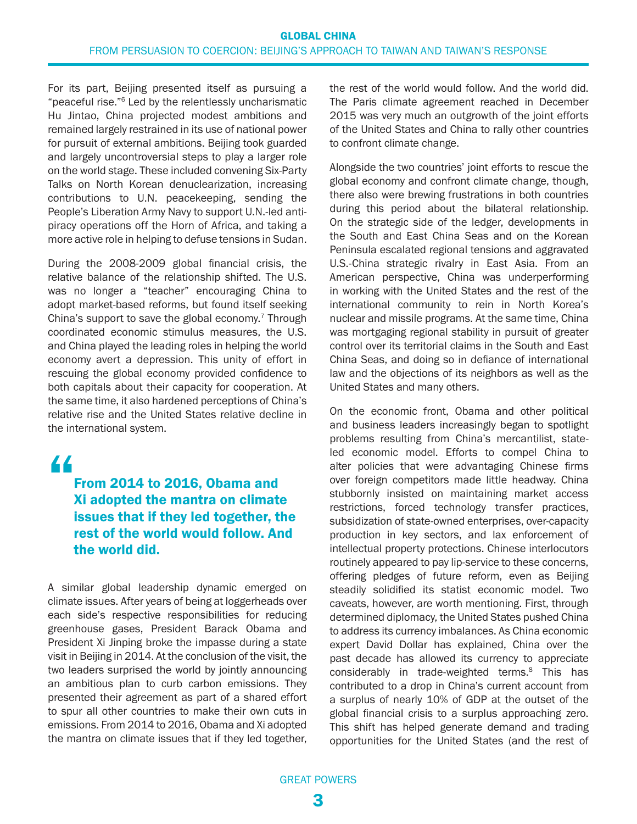<span id="page-2-0"></span>For its part, Beijing presented itself as pursuing a "peaceful rise."[6](#page-13-0) Led by the relentlessly uncharismatic Hu Jintao, China projected modest ambitions and remained largely restrained in its use of national power for pursuit of external ambitions. Beijing took guarded and largely uncontroversial steps to play a larger role on the world stage. These included convening Six-Party Talks on North Korean denuclearization, increasing contributions to U.N. peacekeeping, sending the People's Liberation Army Navy to support U.N.-led antipiracy operations off the Horn of Africa, and taking a more active role in helping to defuse tensions in Sudan.

During the 2008-2009 global financial crisis, the relative balance of the relationship shifted. The U.S. was no longer a "teacher" encouraging China to adopt market-based reforms, but found itself seeking China's support to save the global economy.[7](#page-13-0) Through coordinated economic stimulus measures, the U.S. and China played the leading roles in helping the world economy avert a depression. This unity of effort in rescuing the global economy provided confidence to both capitals about their capacity for cooperation. At the same time, it also hardened perceptions of China's relative rise and the United States relative decline in the international system.

## "

### From 2014 to 2016, Obama and Xi adopted the mantra on climate issues that if they led together, the rest of the world would follow. And the world did.

A similar global leadership dynamic emerged on climate issues. After years of being at loggerheads over each side's respective responsibilities for reducing greenhouse gases, President Barack Obama and President Xi Jinping broke the impasse during a state visit in Beijing in 2014. At the conclusion of the visit, the two leaders surprised the world by jointly [announcing](https://obamawhitehouse.archives.gov/the-press-office/2014/11/11/fact-sheet-us-china-joint-announcement-climate-change-and-clean-energy-c) an ambitious plan to curb carbon emissions. They presented their agreement as part of a shared effort to spur all other countries to make their own cuts in emissions. From 2014 to 2016, Obama and Xi adopted the mantra on climate issues that if they led together, the rest of the world would follow. And the world did. The Paris climate agreement reached in December 2015 was very much an outgrowth of the joint efforts of the United States and China to rally other countries to confront climate change.

Alongside the two countries' joint efforts to rescue the global economy and confront climate change, though, there also were brewing frustrations in both countries during this period about the bilateral relationship. On the strategic side of the ledger, developments in the South and East China Seas and on the Korean Peninsula escalated regional tensions and aggravated U.S.-China strategic rivalry in East Asia. From an American perspective, China was underperforming in working with the United States and the rest of the international community to rein in North Korea's nuclear and missile programs. At the same time, China was mortgaging regional stability in pursuit of greater control over its territorial claims in the South and East China Seas, and doing so in defiance of international law and the objections of its neighbors as well as the United States and many others.

On the economic front, Obama and other political and business leaders increasingly began to spotlight problems resulting from China's mercantilist, stateled economic model. Efforts to compel China to alter policies that were advantaging Chinese firms over foreign competitors made little headway. China stubbornly insisted on maintaining market access restrictions, forced technology transfer practices, subsidization of state-owned enterprises, over-capacity production in key sectors, and lax enforcement of intellectual property protections. Chinese interlocutors routinely appeared to pay lip-service to these concerns, offering pledges of future reform, even as Beijing steadily solidified its statist economic model. Two caveats, however, are worth mentioning. First, through determined diplomacy, the United States pushed China to address its currency imbalances. As China economic expert David Dollar has explained, China over the past decade has allowed its currency to appreciate considerably in trade-weighted terms.<sup>8</sup> This has contributed to a drop in China's current account from a surplus of nearly 10% of GDP at the outset of the global financial crisis to a surplus approaching zero. This shift has helped generate demand and trading opportunities for the United States (and the rest of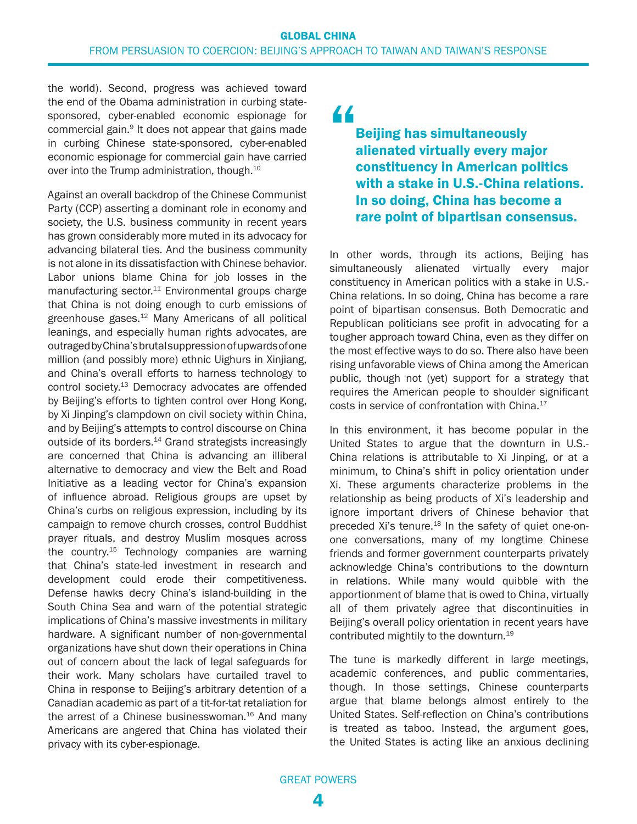<span id="page-3-0"></span>the world). Second, progress was achieved toward the end of the Obama administration in curbing statesponsored, cyber-enabled economic espionage for commercial gain.[9](#page-13-0) It does not appear that gains made in curbing Chinese state-sponsored, cyber-enabled economic espionage for commercial gain have carried over into the Trump administration, though.<sup>10</sup>

Against an overall backdrop of the Chinese Communist Party (CCP) asserting a dominant role in economy and society, the U.S. business community in recent years has grown considerably more muted in its advocacy for advancing bilateral ties. And the business community is not alone in its dissatisfaction with Chinese behavior. Labor unions blame China for job losses in the manufacturing sector. $11$  Environmental groups charge that China is not doing enough to curb emissions of greenhouse gases.[12](#page-13-0) Many Americans of all political leanings, and especially human rights advocates, are outraged by China's brutal suppression of upwards of one million (and possibly more) ethnic Uighurs in Xinjiang, and China's overall efforts to harness technology to control society[.13](#page-13-0) Democracy advocates are offended by Beijing's efforts to tighten control over Hong Kong, by Xi Jinping's clampdown on civil society within China, and by Beijing's attempts to control discourse on China outside of its borders.<sup>[14](#page-14-0)</sup> Grand strategists increasingly are concerned that China is advancing an illiberal alternative to democracy and view the Belt and Road Initiative as a leading vector for China's expansion of influence abroad. Religious groups are upset by China's curbs on religious expression, including by its campaign to remove church crosses, control Buddhist prayer rituals, and destroy Muslim mosques across the country.[15](#page-14-0) Technology companies are warning that China's state-led investment in research and development could erode their competitiveness. Defense hawks decry China's island-building in the South China Sea and warn of the potential strategic implications of China's massive investments in military hardware. A significant number of non-governmental organizations have shut down their operations in China out of concern about the lack of legal safeguards for their work. Many scholars have curtailed travel to China in response to Beijing's arbitrary detention of a Canadian academic as part of a tit-for-tat retaliation for the arrest of a Chinese businesswoman.<sup>[16](#page-14-0)</sup> And many Americans are angered that China has violated their privacy with its cyber-espionage.

"

Beijing has simultaneously alienated virtually every major constituency in American politics with a stake in U.S.-China relations. In so doing, China has become a rare point of bipartisan consensus.

In other words, through its actions, Beijing has simultaneously alienated virtually every major constituency in American politics with a stake in U.S.- China relations. In so doing, China has become a rare point of bipartisan consensus. Both Democratic and Republican politicians see profit in advocating for a tougher approach toward China, even as they differ on the most effective ways to do so. There also have been rising unfavorable views of China among the American public, though not (yet) support for a strategy that requires the American people to shoulder significant costs in service of confrontation with China.<sup>[17](#page-14-0)</sup>

In this environment, it has become popular in the United States to argue that the downturn in U.S.- China relations is attributable to Xi Jinping, or at a minimum, to China's shift in policy orientation under Xi. These arguments characterize problems in the relationship as being products of Xi's leadership and ignore important drivers of Chinese behavior that preceded Xi's tenure.<sup>[18](#page-14-0)</sup> In the safety of quiet one-onone conversations, many of my longtime Chinese friends and former government counterparts privately acknowledge China's contributions to the downturn in relations. While many would quibble with the apportionment of blame that is owed to China, virtually all of them privately agree that discontinuities in Beijing's overall policy orientation in recent years have contributed mightily to the downturn.<sup>[19](#page-14-0)</sup>

The tune is markedly different in large meetings, academic conferences, and public commentaries, though. In those settings, Chinese counterparts argue that blame belongs almost entirely to the United States. Self-reflection on China's contributions is treated as taboo. Instead, the argument goes, the United States is acting like an anxious declining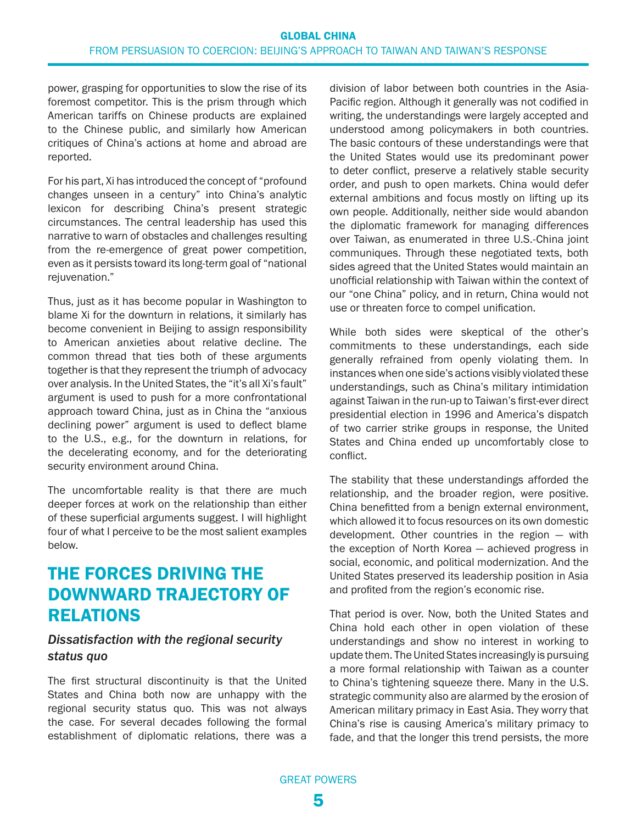power, grasping for opportunities to slow the rise of its foremost competitor. This is the prism through which American tariffs on Chinese products are explained to the Chinese public, and similarly how American critiques of China's actions at home and abroad are reported.

For his part, Xi has introduced the concept of "profound changes unseen in a century" into China's analytic lexicon for describing China's present strategic circumstances. The central leadership has used this narrative to warn of obstacles and challenges resulting from the re-emergence of great power competition, even as it persists toward its long-term goal of "national rejuvenation."

Thus, just as it has become popular in Washington to blame Xi for the downturn in relations, it similarly has become convenient in Beijing to assign responsibility to American anxieties about relative decline. The common thread that ties both of these arguments together is that they represent the triumph of advocacy over analysis. In the United States, the "it's all Xi's fault" argument is used to push for a more confrontational approach toward China, just as in China the "anxious declining power" argument is used to deflect blame to the U.S., e.g., for the downturn in relations, for the decelerating economy, and for the deteriorating security environment around China.

The uncomfortable reality is that there are much deeper forces at work on the relationship than either of these superficial arguments suggest. I will highlight four of what I perceive to be the most salient examples below.

### THE FORCES DRIVING THE DOWNWARD TRAJECTORY OF RELATIONS

#### *Dissatisfaction with the regional security status quo*

The first structural discontinuity is that the United States and China both now are unhappy with the regional security status quo. This was not always the case. For several decades following the formal establishment of diplomatic relations, there was a

division of labor between both countries in the Asia-Pacific region. Although it generally was not codified in writing, the understandings were largely accepted and understood among policymakers in both countries. The basic contours of these understandings were that the United States would use its predominant power to deter conflict, preserve a relatively stable security order, and push to open markets. China would defer external ambitions and focus mostly on lifting up its own people. Additionally, neither side would abandon the diplomatic framework for managing differences over Taiwan, as enumerated in three U.S.-China joint communiques. Through these negotiated texts, both sides agreed that the United States would maintain an unofficial relationship with Taiwan within the context of our "one China" policy, and in return, China would not use or threaten force to compel unification.

While both sides were skeptical of the other's commitments to these understandings, each side generally refrained from openly violating them. In instances when one side's actions visibly violated these understandings, such as China's military intimidation against Taiwan in the run-up to Taiwan's first-ever direct presidential election in 1996 and America's dispatch of two carrier strike groups in response, the United States and China ended up uncomfortably close to conflict.

The stability that these understandings afforded the relationship, and the broader region, were positive. China benefitted from a benign external environment, which allowed it to focus resources on its own domestic development. Other countries in the region — with the exception of North Korea — achieved progress in social, economic, and political modernization. And the United States preserved its leadership position in Asia and profited from the region's economic rise.

That period is over. Now, both the United States and China hold each other in open violation of these understandings and show no interest in working to update them. The United States increasingly is pursuing a more formal relationship with Taiwan as a counter to China's tightening squeeze there. Many in the U.S. strategic community also are alarmed by the erosion of American military primacy in East Asia. They worry that China's rise is causing America's military primacy to fade, and that the longer this trend persists, the more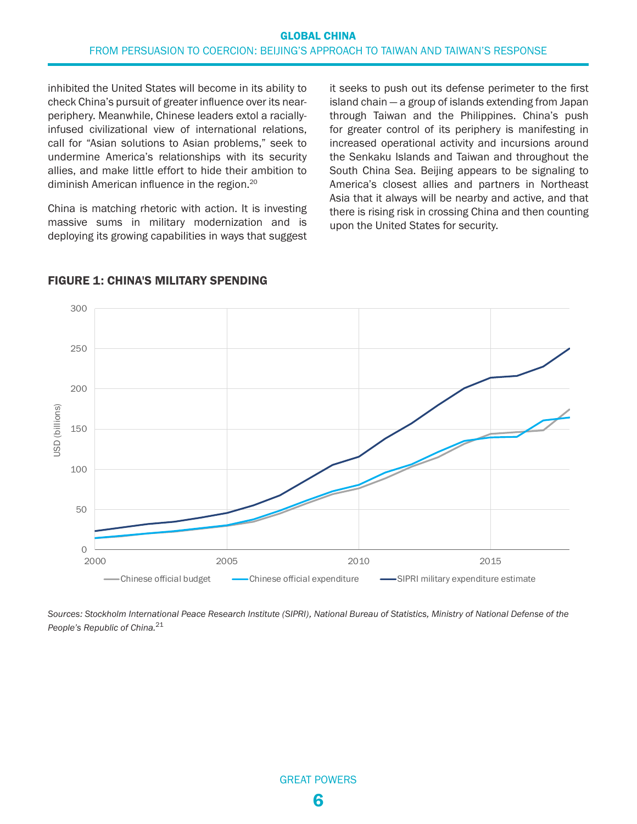<span id="page-5-0"></span>inhibited the United States will become in its ability to check China's pursuit of greater influence over its nearperiphery. Meanwhile, Chinese leaders extol a raciallyinfused civilizational view of international relations, call for "Asian solutions to Asian problems," seek to undermine America's relationships with its security allies, and make little effort to hide their ambition to diminish American influence in the region[.20](#page-14-0)

China is matching rhetoric with action. It is investing massive sums in military modernization and is deploying its growing capabilities in ways that suggest

it seeks to push out its defense perimeter to the first island chain — a group of islands extending from Japan through Taiwan and the Philippines. China's push for greater control of its periphery is manifesting in increased operational activity and incursions around the Senkaku Islands and Taiwan and throughout the South China Sea. Beijing appears to be signaling to America's closest allies and partners in Northeast Asia that it always will be nearby and active, and that there is rising risk in crossing China and then counting upon the United States for security.



#### FIGURE 1: CHINA'S MILITARY SPENDING

*Sources: Stockholm International Peace Research Institute (SIPRI), National Bureau of Statistics, Ministry of National Defense of the People's Republic of China.*[21](#page-14-0)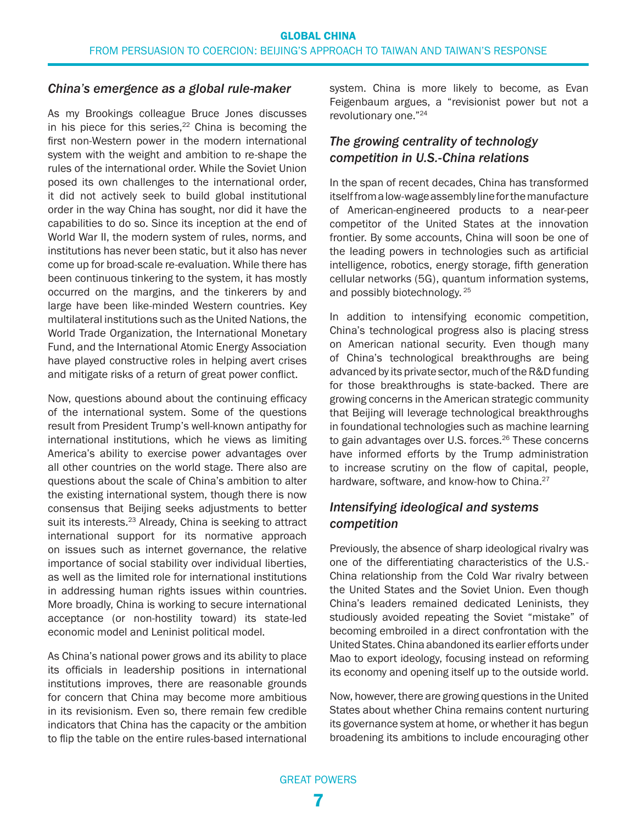#### <span id="page-6-0"></span>*China's emergence as a global rule-maker*

As my Brookings colleague Bruce Jones discusses in his piece for this series, $22$  China is becoming the first non-Western power in the modern international system with the weight and ambition to re-shape the rules of the international order. While the Soviet Union posed its own challenges to the international order, it did not actively seek to build global institutional order in the way China has sought, nor did it have the capabilities to do so. Since its inception at the end of World War II, the modern system of rules, norms, and institutions has never been static, but it also has never come up for broad-scale re-evaluation. While there has been continuous tinkering to the system, it has mostly occurred on the margins, and the tinkerers by and large have been like-minded Western countries. Key multilateral institutions such as the United Nations, the World Trade Organization, the International Monetary Fund, and the International Atomic Energy Association have played constructive roles in helping avert crises and mitigate risks of a return of great power conflict.

Now, questions abound about the continuing efficacy of the international system. Some of the questions result from President Trump's well-known antipathy for international institutions, which he views as limiting America's ability to exercise power advantages over all other countries on the world stage. There also are questions about the scale of China's ambition to alter the existing international system, though there is now consensus that Beijing seeks adjustments to better suit its interests.<sup>23</sup> Already, China is seeking to attract international support for its normative approach on issues such as internet governance, the relative importance of social stability over individual liberties, as well as the limited role for international institutions in addressing human rights issues within countries. More broadly, China is working to secure international acceptance (or non-hostility toward) its state-led economic model and Leninist political model.

As China's national power grows and its ability to place its officials in leadership positions in international institutions improves, there are reasonable grounds for concern that China may become more ambitious in its revisionism. Even so, there remain few credible indicators that China has the capacity or the ambition to flip the table on the entire rules-based international system. China is more likely to become, as Evan Feigenbaum argues, a "revisionist power but not a revolutionary one."[24](#page-15-0)

### *The growing centrality of technology competition in U.S.-China relations*

In the span of recent decades, China has transformed itself from a low-wage assembly line for the manufacture of American-engineered products to a near-peer competitor of the United States at the innovation frontier. By some accounts, China will soon be one of the leading powers in technologies such as artificial intelligence, robotics, energy storage, fifth generation cellular networks (5G), quantum information systems, and possibly biotechnology. [25](#page-15-0)

In addition to intensifying economic competition, China's technological progress also is placing stress on American national security. Even though many of China's technological breakthroughs are being advanced by its private sector, much of the R&D funding for those breakthroughs is state-backed. There are growing concerns in the American strategic community that Beijing will leverage technological breakthroughs in foundational technologies such as machine learning to gain advantages over U.S. forces.<sup>[26](#page-15-0)</sup> These concerns have informed efforts by the Trump administration to increase scrutiny on the flow of capital, people, hardware, software, and know-how to China.<sup>27</sup>

### *Intensifying ideological and systems competition*

Previously, the absence of sharp ideological rivalry was one of the differentiating characteristics of the U.S.- China relationship from the Cold War rivalry between the United States and the Soviet Union. Even though China's leaders remained dedicated Leninists, they studiously avoided repeating the Soviet "mistake" of becoming embroiled in a direct confrontation with the United States. China abandoned its earlier efforts under Mao to export ideology, focusing instead on reforming its economy and opening itself up to the outside world.

Now, however, there are growing questions in the United States about whether China remains content nurturing its governance system at home, or whether it has begun broadening its ambitions to include encouraging other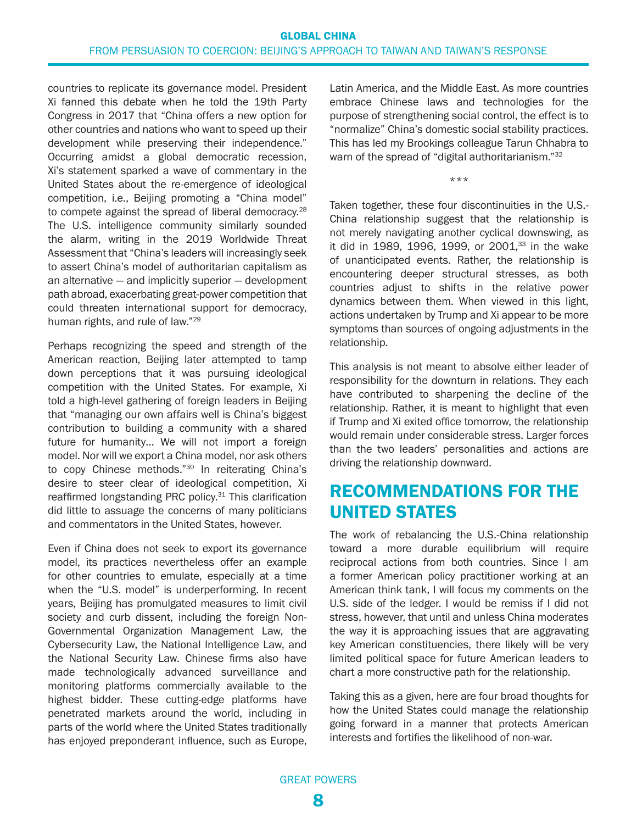<span id="page-7-0"></span>countries to replicate its governance model. President Xi fanned this debate when he told the 19th Party Congress in 2017 that "China offers a new option for other countries and nations who want to speed up their development while preserving their independence." Occurring amidst a global democratic recession, Xi's statement sparked a wave of commentary in the United States about the re-emergence of ideological competition, i.e., Beijing promoting a "China model" to compete against the spread of liberal democracy.<sup>[28](#page-15-0)</sup> The U.S. intelligence community similarly sounded the alarm, writing in the 2019 Worldwide Threat Assessment that "China's leaders will increasingly seek to assert China's model of authoritarian capitalism as an alternative — and implicitly superior — development path abroad, exacerbating great-power competition that could threaten international support for democracy, human rights, and rule of law."[29](#page-15-0)

Perhaps recognizing the speed and strength of the American reaction, Beijing later attempted to tamp down perceptions that it was pursuing ideological competition with the United States. For example, Xi told a high-level gathering of foreign leaders in Beijing that "managing our own affairs well is China's biggest contribution to building a community with a shared future for humanity… We will not import a foreign model. Nor will we export a China model, nor ask others to copy Chinese methods."<sup>30</sup> In reiterating China's desire to steer clear of ideological competition, Xi reaffirmed longstanding PRC policy.<sup>31</sup> This clarification did little to assuage the concerns of many politicians and commentators in the United States, however.

Even if China does not seek to export its governance model, its practices nevertheless offer an example for other countries to emulate, especially at a time when the "U.S. model" is underperforming. In recent years, Beijing has promulgated measures to limit civil society and curb dissent, including the foreign Non-Governmental Organization Management Law, the Cybersecurity Law, the National Intelligence Law, and the National Security Law. Chinese firms also have made technologically advanced surveillance and monitoring platforms commercially available to the highest bidder. These cutting-edge platforms have penetrated markets around the world, including in parts of the world where the United States traditionally has enjoyed preponderant influence, such as Europe, Latin America, and the Middle East. As more countries embrace Chinese laws and technologies for the purpose of strengthening social control, the effect is to "normalize" China's domestic social stability practices. This has led my Brookings colleague Tarun Chhabra to warn of the spread of "digital authoritarianism."<sup>32</sup>

\*\*\*

Taken together, these four discontinuities in the U.S.- China relationship suggest that the relationship is not merely navigating another cyclical downswing, as it did in 1989, 1996, 1999, or 2001, $33$  in the wake of unanticipated events. Rather, the relationship is encountering deeper structural stresses, as both countries adjust to shifts in the relative power dynamics between them. When viewed in this light, actions undertaken by Trump and Xi appear to be more symptoms than sources of ongoing adjustments in the relationship.

This analysis is not meant to absolve either leader of responsibility for the downturn in relations. They each have contributed to sharpening the decline of the relationship. Rather, it is meant to highlight that even if Trump and Xi exited office tomorrow, the relationship would remain under considerable stress. Larger forces than the two leaders' personalities and actions are driving the relationship downward.

### RECOMMENDATIONS FOR THE UNITED STATES

The work of rebalancing the U.S.-China relationship toward a more durable equilibrium will require reciprocal actions from both countries. Since I am a former American policy practitioner working at an American think tank, I will focus my comments on the U.S. side of the ledger. I would be remiss if I did not stress, however, that until and unless China moderates the way it is approaching issues that are aggravating key American constituencies, there likely will be very limited political space for future American leaders to chart a more constructive path for the relationship.

Taking this as a given, here are four broad thoughts for how the United States could manage the relationship going forward in a manner that protects American interests and fortifies the likelihood of non-war.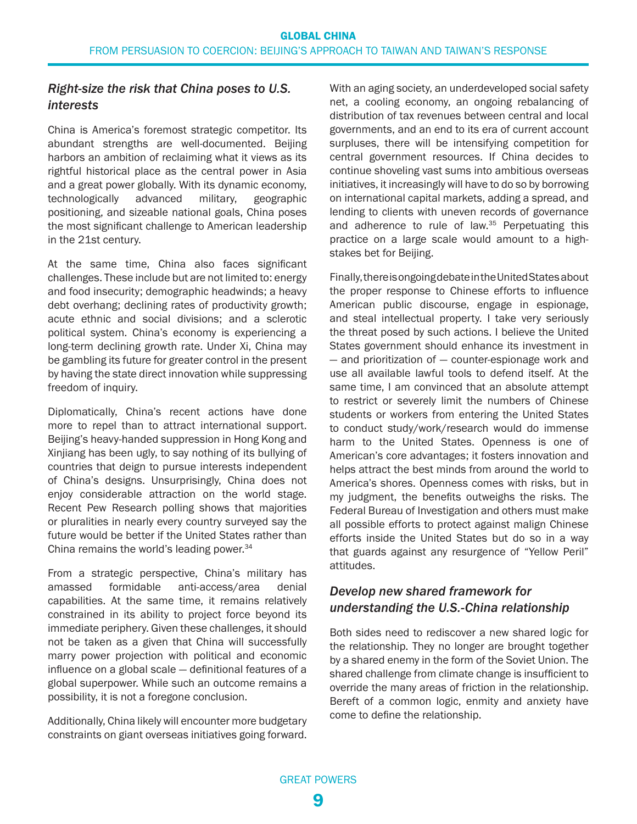#### <span id="page-8-0"></span>*Right-size the risk that China poses to U.S. interests*

China is America's foremost strategic competitor. Its abundant strengths are well-documented. Beijing harbors an ambition of reclaiming what it views as its rightful historical place as the central power in Asia and a great power globally. With its dynamic economy, technologically advanced military, geographic positioning, and sizeable national goals, China poses the most significant challenge to American leadership in the 21st century.

At the same time, China also faces significant challenges. These include but are not limited to: energy and food insecurity; demographic headwinds; a heavy debt overhang; declining rates of productivity growth; acute ethnic and social divisions; and a sclerotic political system. China's economy is experiencing a long-term declining growth rate. Under Xi, China may be gambling its future for greater control in the present by having the state direct innovation while suppressing freedom of inquiry.

Diplomatically, China's recent actions have done more to repel than to attract international support. Beijing's heavy-handed suppression in Hong Kong and Xinjiang has been ugly, to say nothing of its bullying of countries that deign to pursue interests independent of China's designs. Unsurprisingly, China does not enjoy considerable attraction on the world stage. Recent Pew Research polling shows that majorities or pluralities in nearly every country surveyed say the future would be better if the United States rather than China remains the world's leading power.<sup>34</sup>

From a strategic perspective, China's military has amassed formidable anti-access/area denial capabilities. At the same time, it remains relatively constrained in its ability to project force beyond its immediate periphery. Given these challenges, it should not be taken as a given that China will successfully marry power projection with political and economic influence on a global scale — definitional features of a global superpower. While such an outcome remains a possibility, it is not a foregone conclusion.

Additionally, China likely will encounter more budgetary constraints on giant overseas initiatives going forward. With an aging society, an underdeveloped social safety net, a cooling economy, an ongoing rebalancing of distribution of tax revenues between central and local governments, and an end to its era of current account surpluses, there will be intensifying competition for central government resources. If China decides to continue shoveling vast sums into ambitious overseas initiatives, it increasingly will have to do so by borrowing on international capital markets, adding a spread, and lending to clients with uneven records of governance and adherence to rule of law.<sup>[35](#page-15-0)</sup> Perpetuating this practice on a large scale would amount to a highstakes bet for Beijing.

Finally, there is ongoing debate in the United States about the proper response to Chinese efforts to influence American public discourse, engage in espionage, and steal intellectual property. I take very seriously the threat posed by such actions. I believe the United States government should enhance its investment in — and prioritization of — counter-espionage work and use all available lawful tools to defend itself. At the same time, I am convinced that an absolute attempt to restrict or severely limit the numbers of Chinese students or workers from entering the United States to conduct study/work/research would do immense harm to the United States. Openness is one of American's core advantages; it fosters innovation and helps attract the best minds from around the world to America's shores. Openness comes with risks, but in my judgment, the benefits outweighs the risks. The Federal Bureau of Investigation and others must make all possible efforts to protect against malign Chinese efforts inside the United States but do so in a way that guards against any resurgence of "Yellow Peril" attitudes.

#### *Develop new shared framework for understanding the U.S.-China relationship*

Both sides need to rediscover a new shared logic for the relationship. They no longer are brought together by a shared enemy in the form of the Soviet Union. The shared challenge from climate change is insufficient to override the many areas of friction in the relationship. Bereft of a common logic, enmity and anxiety have come to define the relationship.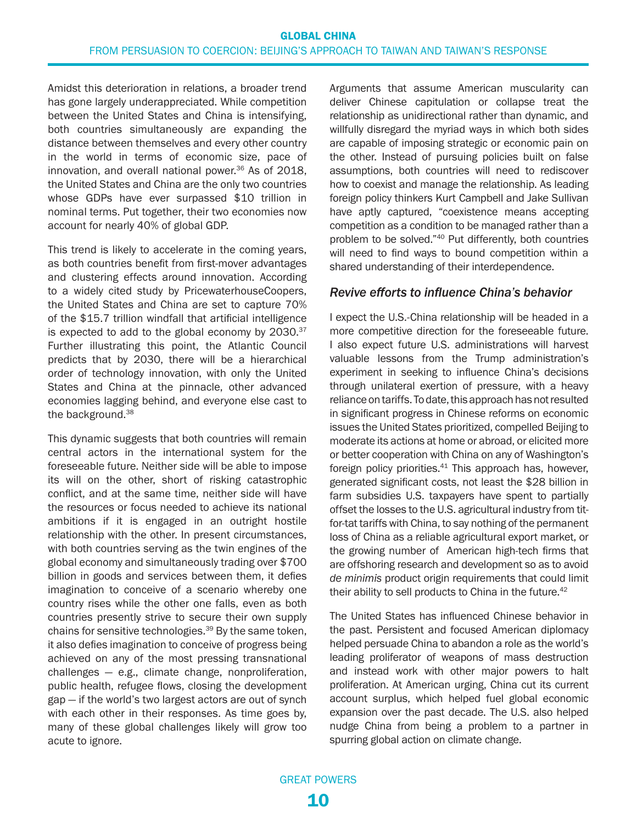<span id="page-9-0"></span>Amidst this deterioration in relations, a broader trend has gone largely underappreciated. While competition between the United States and China is intensifying, both countries simultaneously are expanding the distance between themselves and every other country in the world in terms of economic size, pace of innovation, and overall national power.<sup>36</sup> As of 2018, the United States and China are the only two countries whose GDPs have ever surpassed \$10 trillion in nominal terms. Put together, their two economies now account for nearly 40% of global GDP.

This trend is likely to accelerate in the coming years, as both countries benefit from first-mover advantages and clustering effects around innovation. According to a widely cited study by PricewaterhouseCoopers, the United States and China are set to capture 70% of the \$15.7 trillion windfall that artificial intelligence is expected to add to the global economy by  $2030.^{37}$ Further illustrating this point, the Atlantic Council predicts that by 2030, there will be a hierarchical order of technology innovation, with only the United States and China at the pinnacle, other advanced economies lagging behind, and everyone else cast to the background.<sup>38</sup>

This dynamic suggests that both countries will remain central actors in the international system for the foreseeable future. Neither side will be able to impose its will on the other, short of risking catastrophic conflict, and at the same time, neither side will have the resources or focus needed to achieve its national ambitions if it is engaged in an outright hostile relationship with the other. In present circumstances, with both countries serving as the twin engines of the global economy and simultaneously trading over \$700 billion in goods and services between them, it defies imagination to conceive of a scenario whereby one country rises while the other one falls, even as both countries presently strive to secure their own supply chains for sensitive technologies.[39](#page-16-0) By the same token, it also defies imagination to conceive of progress being achieved on any of the most pressing transnational challenges — e.g., climate change, nonproliferation, public health, refugee flows, closing the development gap — if the world's two largest actors are out of synch with each other in their responses. As time goes by, many of these global challenges likely will grow too acute to ignore.

Arguments that assume American muscularity can deliver Chinese capitulation or collapse treat the relationship as unidirectional rather than dynamic, and willfully disregard the myriad ways in which both sides are capable of imposing strategic or economic pain on the other. Instead of pursuing policies built on false assumptions, both countries will need to rediscover how to coexist and manage the relationship. As leading foreign policy thinkers Kurt Campbell and Jake Sullivan have aptly captured, "coexistence means accepting competition as a condition to be managed rather than a problem to be solved.["40](#page-16-0) Put differently, both countries will need to find ways to bound competition within a shared understanding of their interdependence.

#### *Revive efforts to influence China's behavior*

I expect the U.S.-China relationship will be headed in a more competitive direction for the foreseeable future. I also expect future U.S. administrations will harvest valuable lessons from the Trump administration's experiment in seeking to influence China's decisions through unilateral exertion of pressure, with a heavy reliance on tariffs. To date, this approach has not resulted in significant progress in Chinese reforms on economic issues the United States prioritized, compelled Beijing to moderate its actions at home or abroad, or elicited more or better cooperation with China on any of Washington's foreign policy priorities.<sup>41</sup> This approach has, however, generated significant costs, not least the \$28 billion in farm subsidies U.S. taxpayers have spent to partially offset the losses to the U.S. agricultural industry from titfor-tat tariffs with China, to say nothing of the permanent loss of China as a reliable agricultural export market, or the growing number of American high-tech firms that are offshoring research and development so as to avoid *de minimis* product origin requirements that could limit their ability to sell products to China in the future.<sup>42</sup>

The United States has influenced Chinese behavior in the past. Persistent and focused American diplomacy helped persuade China to abandon a role as the world's leading proliferator of weapons of mass destruction and instead work with other major powers to halt proliferation. At American urging, China cut its current account surplus, which helped fuel global economic expansion over the past decade. The U.S. also helped nudge China from being a problem to a partner in spurring global action on climate change.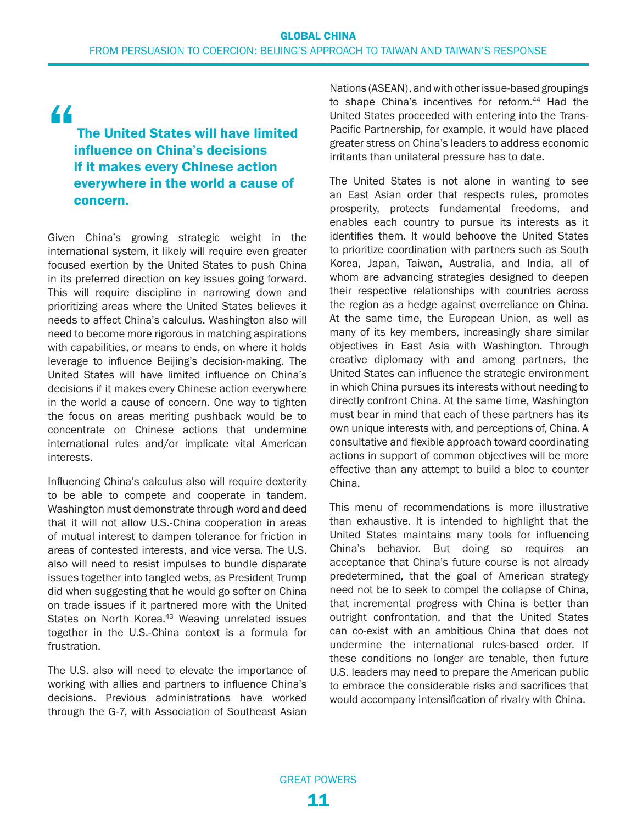<span id="page-10-0"></span>"

### The United States will have limited influence on China's decisions if it makes every Chinese action everywhere in the world a cause of concern.

Given China's growing strategic weight in the international system, it likely will require even greater focused exertion by the United States to push China in its preferred direction on key issues going forward. This will require discipline in narrowing down and prioritizing areas where the United States believes it needs to affect China's calculus. Washington also will need to become more rigorous in matching aspirations with capabilities, or means to ends, on where it holds leverage to influence Beijing's decision-making. The United States will have limited influence on China's decisions if it makes every Chinese action everywhere in the world a cause of concern. One way to tighten the focus on areas meriting pushback would be to concentrate on Chinese actions that undermine international rules and/or implicate vital American interests.

Influencing China's calculus also will require dexterity to be able to compete and cooperate in tandem. Washington must demonstrate through word and deed that it will not allow U.S.-China cooperation in areas of mutual interest to dampen tolerance for friction in areas of contested interests, and vice versa. The U.S. also will need to resist impulses to bundle disparate issues together into tangled webs, as President Trump did when suggesting that he would go softer on China on trade issues if it partnered more with the United States on North Korea.<sup>43</sup> Weaving unrelated issues together in the U.S.-China context is a formula for frustration.

The U.S. also will need to elevate the importance of working with allies and partners to influence China's decisions. Previous administrations have worked through the G-7, with Association of Southeast Asian Nations (ASEAN), and with other issue-based groupings to shape China's incentives for reform.<sup>44</sup> Had the United States proceeded with entering into the Trans-Pacific Partnership, for example, it would have placed greater stress on China's leaders to address economic irritants than unilateral pressure has to date.

The United States is not alone in wanting to see an East Asian order that respects rules, promotes prosperity, protects fundamental freedoms, and enables each country to pursue its interests as it identifies them. It would behoove the United States to prioritize coordination with partners such as South Korea, Japan, Taiwan, Australia, and India, all of whom are advancing strategies designed to deepen their respective relationships with countries across the region as a hedge against overreliance on China. At the same time, the European Union, as well as many of its key members, increasingly share similar objectives in East Asia with Washington. Through creative diplomacy with and among partners, the United States can influence the strategic environment in which China pursues its interests without needing to directly confront China. At the same time, Washington must bear in mind that each of these partners has its own unique interests with, and perceptions of, China. A consultative and flexible approach toward coordinating actions in support of common objectives will be more effective than any attempt to build a bloc to counter China.

This menu of recommendations is more illustrative than exhaustive. It is intended to highlight that the United States maintains many tools for influencing China's behavior. But doing so requires an acceptance that China's future course is not already predetermined, that the goal of American strategy need not be to seek to compel the collapse of China, that incremental progress with China is better than outright confrontation, and that the United States can co-exist with an ambitious China that does not undermine the international rules-based order. If these conditions no longer are tenable, then future U.S. leaders may need to prepare the American public to embrace the considerable risks and sacrifices that would accompany intensification of rivalry with China.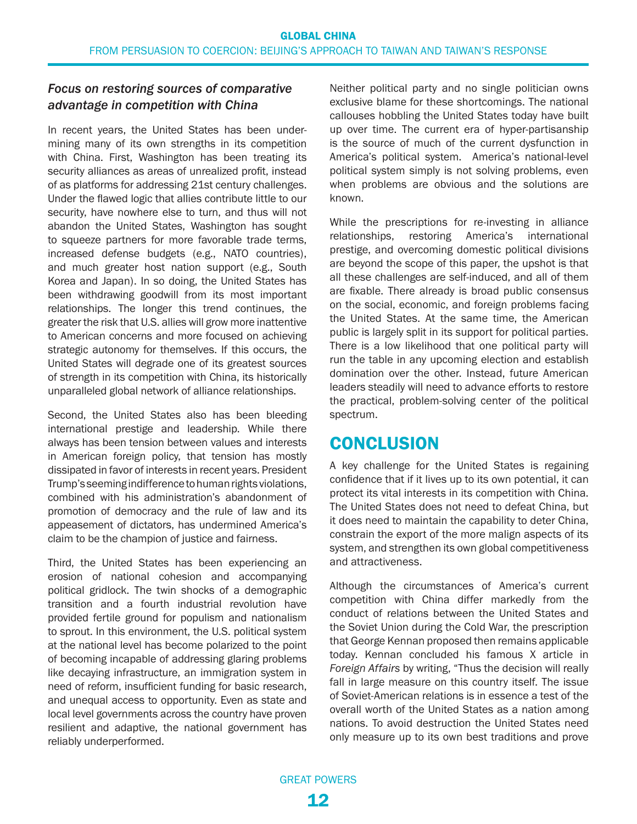#### *Focus on restoring sources of comparative advantage in competition with China*

In recent years, the United States has been undermining many of its own strengths in its competition with China. First, Washington has been treating its security alliances as areas of unrealized profit, instead of as platforms for addressing 21st century challenges. Under the flawed logic that allies contribute little to our security, have nowhere else to turn, and thus will not abandon the United States, Washington has sought to squeeze partners for more favorable trade terms, increased defense budgets (e.g., NATO countries), and much greater host nation support (e.g., South Korea and Japan). In so doing, the United States has been withdrawing goodwill from its most important relationships. The longer this trend continues, the greater the risk that U.S. allies will grow more inattentive to American concerns and more focused on achieving strategic autonomy for themselves. If this occurs, the United States will degrade one of its greatest sources of strength in its competition with China, its historically unparalleled global network of alliance relationships.

Second, the United States also has been bleeding international prestige and leadership. While there always has been tension between values and interests in American foreign policy, that tension has mostly dissipated in favor of interests in recent years. President Trump's seeming indifference to human rights violations, combined with his administration's abandonment of promotion of democracy and the rule of law and its appeasement of dictators, has undermined America's claim to be the champion of justice and fairness.

Third, the United States has been experiencing an erosion of national cohesion and accompanying political gridlock. The twin shocks of a demographic transition and a fourth industrial revolution have provided fertile ground for populism and nationalism to sprout. In this environment, the U.S. political system at the national level has become polarized to the point of becoming incapable of addressing glaring problems like decaying infrastructure, an immigration system in need of reform, insufficient funding for basic research, and unequal access to opportunity. Even as state and local level governments across the country have proven resilient and adaptive, the national government has reliably underperformed.

Neither political party and no single politician owns exclusive blame for these shortcomings. The national callouses hobbling the United States today have built up over time. The current era of hyper-partisanship is the source of much of the current dysfunction in America's political system. America's national-level political system simply is not solving problems, even when problems are obvious and the solutions are known.

While the prescriptions for re-investing in alliance relationships, restoring America's international prestige, and overcoming domestic political divisions are beyond the scope of this paper, the upshot is that all these challenges are self-induced, and all of them are fixable. There already is broad public consensus on the social, economic, and foreign problems facing the United States. At the same time, the American public is largely split in its support for political parties. There is a low likelihood that one political party will run the table in any upcoming election and establish domination over the other. Instead, future American leaders steadily will need to advance efforts to restore the practical, problem-solving center of the political spectrum.

### **CONCLUSION**

A key challenge for the United States is regaining confidence that if it lives up to its own potential, it can protect its vital interests in its competition with China. The United States does not need to defeat China, but it does need to maintain the capability to deter China, constrain the export of the more malign aspects of its system, and strengthen its own global competitiveness and attractiveness.

Although the circumstances of America's current competition with China differ markedly from the conduct of relations between the United States and the Soviet Union during the Cold War, the prescription that George Kennan proposed then remains applicable today. Kennan concluded his famous X article in *Foreign Affairs* by writing, "Thus the decision will really fall in large measure on this country itself. The issue of Soviet-American relations is in essence a test of the overall worth of the United States as a nation among nations. To avoid destruction the United States need only measure up to its own best traditions and prove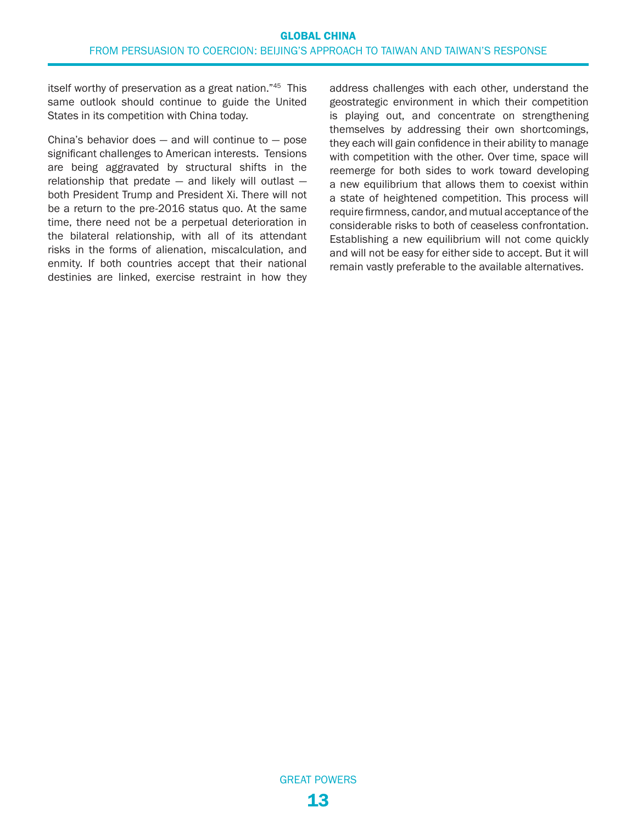<span id="page-12-0"></span>itself worthy of preservation as a great nation."[45](#page-16-0) This same outlook should continue to guide the United States in its competition with China today.

China's behavior does  $-$  and will continue to  $-$  pose significant challenges to American interests. Tensions are being aggravated by structural shifts in the relationship that predate — and likely will outlast both President Trump and President Xi. There will not be a return to the pre-2016 status quo. At the same time, there need not be a perpetual deterioration in the bilateral relationship, with all of its attendant risks in the forms of alienation, miscalculation, and enmity. If both countries accept that their national destinies are linked, exercise restraint in how they address challenges with each other, understand the geostrategic environment in which their competition is playing out, and concentrate on strengthening themselves by addressing their own shortcomings, they each will gain confidence in their ability to manage with competition with the other. Over time, space will reemerge for both sides to work toward developing a new equilibrium that allows them to coexist within a state of heightened competition. This process will require firmness, candor, and mutual acceptance of the considerable risks to both of ceaseless confrontation. Establishing a new equilibrium will not come quickly and will not be easy for either side to accept. But it will remain vastly preferable to the available alternatives.

GREAT POWERS 13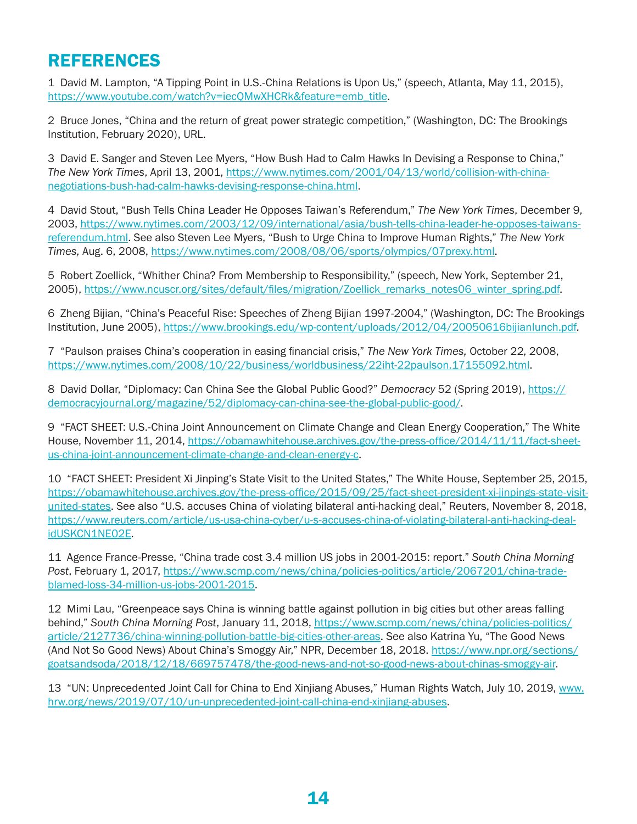### <span id="page-13-0"></span>REFERENCES

[1](#page-0-0) David M. Lampton, "A Tipping Point in U.S.-China Relations is Upon Us," (speech, Atlanta, May 11, 2015), [https://www.youtube.com/watch?v=iecQMwXHCRk&feature=emb\\_title](https://www.youtube.com/watch?v=iecQMwXHCRk&feature=emb_title).

[2](#page-0-0) Bruce Jones, "China and the return of great power strategic competition," (Washington, DC: The Brookings Institution, February 2020), URL.

[3](#page-1-0) David E. Sanger and Steven Lee Myers, "How Bush Had to Calm Hawks In Devising a Response to China," *The New York Times*, April 13, 2001, [https://www.nytimes.com/2001/04/13/world/collision-with-china](https://www.nytimes.com/2001/04/13/world/collision-with-china-negotiations-bush-had-calm-hawks-devising-response-china.html)[negotiations-bush-had-calm-hawks-devising-response-china.html](https://www.nytimes.com/2001/04/13/world/collision-with-china-negotiations-bush-had-calm-hawks-devising-response-china.html).

[4](#page-1-0) David Stout, "Bush Tells China Leader He Opposes Taiwan's Referendum," *The New York Times*, December 9, 2003, [https://www.nytimes.com/2003/12/09/international/asia/bush-tells-china-leader-he-opposes-taiwans](https://www.nytimes.com/2003/12/09/international/asia/bush-tells-china-leader-he-opposes-taiwans-referendum.html)[referendum.html](https://www.nytimes.com/2003/12/09/international/asia/bush-tells-china-leader-he-opposes-taiwans-referendum.html). See also Steven Lee Myers, "Bush to Urge China to Improve Human Rights," *The New York Times,* Aug. 6, 2008, [https://www.nytimes.com/2008/08/06/sports/olympics/07prexy.html.](https://www.nytimes.com/2008/08/06/sports/olympics/07prexy.html)

[5](#page-1-0) Robert Zoellick, "Whither China? From Membership to Responsibility," (speech, New York, September 21, 2005), [https://www.ncuscr.org/sites/default/files/migration/Zoellick\\_remarks\\_notes06\\_winter\\_spring.pdf](https://www.ncuscr.org/sites/default/files/migration/Zoellick_remarks_notes06_winter_spring.pdf).

[6](#page-2-0) Zheng Bijian, "China's Peaceful Rise: Speeches of Zheng Bijian 1997-2004," (Washington, DC: The Brookings Institution, June 2005),<https://www.brookings.edu/wp-content/uploads/2012/04/20050616bijianlunch.pdf>.

[7](#page-2-0) "Paulson praises China's cooperation in easing financial crisis," *The New York Times,* October 22, 2008, <https://www.nytimes.com/2008/10/22/business/worldbusiness/22iht-22paulson.17155092.html>.

[8](#page-2-0) David Dollar, "Diplomacy: Can China See the Global Public Good?" *Democracy* 52 (Spring 2019), [https://](https://democracyjournal.org/magazine/52/diplomacy-can-china-see-the-global-public-good/) [democracyjournal.org/magazine/52/diplomacy-can-china-see-the-global-public-good/.](https://democracyjournal.org/magazine/52/diplomacy-can-china-see-the-global-public-good/)

[9](#page-3-0) "FACT SHEET: U.S.-China Joint Announcement on Climate Change and Clean Energy Cooperation," The White House, November 11, 2014, [https://obamawhitehouse.archives.gov/the-press-office/2014/11/11/fact-sheet](https://obamawhitehouse.archives.gov/the-press-office/2014/11/11/fact-sheet-us-china-joint-announcement-climate-change-and-clean-energy-c)[us-china-joint-announcement-climate-change-and-clean-energy-c.](https://obamawhitehouse.archives.gov/the-press-office/2014/11/11/fact-sheet-us-china-joint-announcement-climate-change-and-clean-energy-c)

[10](#page-3-0) "FACT SHEET: President Xi Jinping's State Visit to the United States," The White House, September 25, 2015, [https://obamawhitehouse.archives.gov/the-press-office/2015/09/25/fact-sheet-president-xi-jinpings-state-visit](https://obamawhitehouse.archives.gov/the-press-office/2015/09/25/fact-sheet-president-xi-jinpings-state-visit-united-states)[united-states.](https://obamawhitehouse.archives.gov/the-press-office/2015/09/25/fact-sheet-president-xi-jinpings-state-visit-united-states) See also "U.S. accuses China of violating bilateral anti-hacking deal," Reuters, November 8, 2018, [https://www.reuters.com/article/us-usa-china-cyber/u-s-accuses-china-of-violating-bilateral-anti-hacking-deal](https://www.reuters.com/article/us-usa-china-cyber/u-s-accuses-china-of-violating-bilateral-anti-hacking-deal-idUSKCN1NE02E)[idUSKCN1NE02E](https://www.reuters.com/article/us-usa-china-cyber/u-s-accuses-china-of-violating-bilateral-anti-hacking-deal-idUSKCN1NE02E).

[11](#page-3-0) Agence France-Presse, "China trade cost 3.4 million US jobs in 2001-2015: report." *South China Morning Post*, February 1, 2017, [https://www.scmp.com/news/china/policies-politics/article/2067201/china-trade](https://www.scmp.com/news/china/policies-politics/article/2067201/china-trade-blamed-loss-34-million-us-jobs-2001-2015)[blamed-loss-34-million-us-jobs-2001-2015.](https://www.scmp.com/news/china/policies-politics/article/2067201/china-trade-blamed-loss-34-million-us-jobs-2001-2015)

[12](#page-3-0) Mimi Lau, "Greenpeace says China is winning battle against pollution in big cities but other areas falling behind," *South China Morning Post*, January 11, 2018, [https://www.scmp.com/news/china/policies-politics/](https://www.scmp.com/news/china/policies-politics/article/2127736/china-winning-pollution-battle-big-cities-other-areas) [article/2127736/china-winning-pollution-battle-big-cities-other-areas.](https://www.scmp.com/news/china/policies-politics/article/2127736/china-winning-pollution-battle-big-cities-other-areas) See also Katrina Yu, "The Good News (And Not So Good News) About China's Smoggy Air," NPR, December 18, 2018. [https://www.npr.org/sections/](https://www.npr.org/sections/goatsandsoda/2018/12/18/669757478/the-good-news-and-not-so-good-news-about-chinas-smoggy-air) [goatsandsoda/2018/12/18/669757478/the-good-news-and-not-so-good-news-about-chinas-smoggy-air](https://www.npr.org/sections/goatsandsoda/2018/12/18/669757478/the-good-news-and-not-so-good-news-about-chinas-smoggy-air).

[13](#page-3-0) "UN: Unprecedented Joint Call for China to End Xinjiang Abuses," Human Rights Watch, July 10, 2019, [www.](http://www.hrw.org/news/2019/07/10/un-unprecedented-joint-call-china-end-xinjiang-abuses) [hrw.org/news/2019/07/10/un-unprecedented-joint-call-china-end-xinjiang-abuses.](http://www.hrw.org/news/2019/07/10/un-unprecedented-joint-call-china-end-xinjiang-abuses)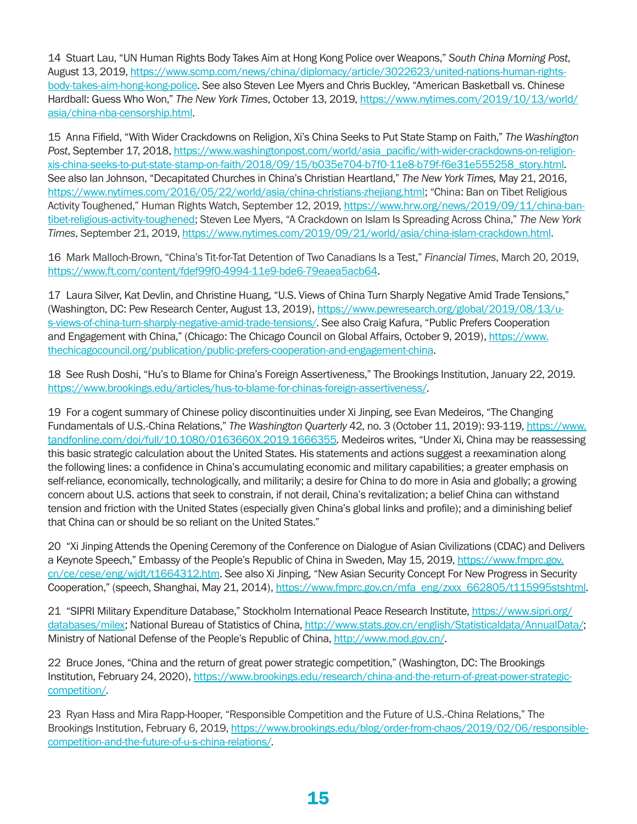<span id="page-14-0"></span>[14](#page-3-0) Stuart Lau, "UN Human Rights Body Takes Aim at Hong Kong Police over Weapons," *South China Morning Post*, August 13, 2019, [https://www.scmp.com/news/china/diplomacy/article/3022623/united-nations-human-rights](https://www.scmp.com/news/china/diplomacy/article/3022623/united-nations-human-rights-body-takes-aim-hong-kong-police)[body-takes-aim-hong-kong-police.](https://www.scmp.com/news/china/diplomacy/article/3022623/united-nations-human-rights-body-takes-aim-hong-kong-police) See also Steven Lee Myers and Chris Buckley, "American Basketball vs. Chinese Hardball: Guess Who Won," *The New York Times*, October 13, 2019, [https://www.nytimes.com/2019/10/13/world/](https://www.nytimes.com/2019/10/13/world/asia/china-nba-censorship.html) [asia/china-nba-censorship.html.](https://www.nytimes.com/2019/10/13/world/asia/china-nba-censorship.html)

[15](#page-3-0) Anna Fifield, "With Wider Crackdowns on Religion, Xi's China Seeks to Put State Stamp on Faith," *The Washington Post*, September 17, 2018, [https://www.washingtonpost.com/world/asia\\_pacific/with-wider-crackdowns-on-religion](https://www.washingtonpost.com/world/asia_pacific/with-wider-crackdowns-on-religion-xis-china-seeks-to-put-state-stamp-on-faith/2018/09/15/b035e704-b7f0-11e8-b79f-f6e31e555258_story.html)[xis-china-seeks-to-put-state-stamp-on-faith/2018/09/15/b035e704-b7f0-11e8-b79f-f6e31e555258\\_story.html](https://www.washingtonpost.com/world/asia_pacific/with-wider-crackdowns-on-religion-xis-china-seeks-to-put-state-stamp-on-faith/2018/09/15/b035e704-b7f0-11e8-b79f-f6e31e555258_story.html). See also Ian Johnson, "Decapitated Churches in China's Christian Heartland," *The New York Times,* May 21, 2016, <https://www.nytimes.com/2016/05/22/world/asia/china-christians-zhejiang.html>; "China: Ban on Tibet Religious Activity Toughened," Human Rights Watch, September 12, 2019, [https://www.hrw.org/news/2019/09/11/china-ban](https://www.hrw.org/news/2019/09/11/china-ban-tibet-religious-activity-toughened)[tibet-religious-activity-toughened](https://www.hrw.org/news/2019/09/11/china-ban-tibet-religious-activity-toughened); Steven Lee Myers, "A Crackdown on Islam Is Spreading Across China," *The New York Times*, September 21, 2019, [https://www.nytimes.com/2019/09/21/world/asia/china-islam-crackdown.html.](https://www.nytimes.com/2019/09/21/world/asia/china-islam-crackdown.html)

[16](#page-3-0) Mark Malloch-Brown, "China's Tit-for-Tat Detention of Two Canadians Is a Test," *Financial Times*, March 20, 2019, [https://www.ft.com/content/fdef99f0-4994-11e9-bde6-79eaea5acb64.](https://www.ft.com/content/fdef99f0-4994-11e9-bde6-79eaea5acb64)

[17](#page-3-0) Laura Silver, Kat Devlin, and Christine Huang, "U.S. Views of China Turn Sharply Negative Amid Trade Tensions," (Washington, DC: Pew Research Center, August 13, 2019), [https://www.pewresearch.org/global/2019/08/13/u](https://www.pewresearch.org/global/2019/08/13/u-s-views-of-china-turn-sharply-negative-amid-trade-tensions/)[s-views-of-china-turn-sharply-negative-amid-trade-tensions/](https://www.pewresearch.org/global/2019/08/13/u-s-views-of-china-turn-sharply-negative-amid-trade-tensions/). See also Craig Kafura, "Public Prefers Cooperation and Engagement with China," (Chicago: The Chicago Council on Global Affairs, October 9, 2019), [https://www.](https://www.thechicagocouncil.org/publication/public-prefers-cooperation-and-engagement-china) [thechicagocouncil.org/publication/public-prefers-cooperation-and-engagement-china.](https://www.thechicagocouncil.org/publication/public-prefers-cooperation-and-engagement-china)

[18](#page-3-0) See Rush Doshi, "Hu's to Blame for China's Foreign Assertiveness," The Brookings Institution, January 22, 2019. <https://www.brookings.edu/articles/hus-to-blame-for-chinas-foreign-assertiveness/>.

[19](#page-3-0) For a cogent summary of Chinese policy discontinuities under Xi Jinping, see Evan Medeiros, "The Changing Fundamentals of U.S.-China Relations," *The Washington Quarterly* 42, no. 3 (October 11, 2019): 93-119, [https://www.](https://www.tandfonline.com/doi/full/10.1080/0163660X.2019.1666355) [tandfonline.com/doi/full/10.1080/0163660X.2019.1666355](https://www.tandfonline.com/doi/full/10.1080/0163660X.2019.1666355)*.* Medeiros writes, "Under Xi, China may be reassessing this basic strategic calculation about the United States. His statements and actions suggest a reexamination along the following lines: a confidence in China's accumulating economic and military capabilities; a greater emphasis on self-reliance, economically, technologically, and militarily; a desire for China to do more in Asia and globally; a growing concern about U.S. actions that seek to constrain, if not derail, China's revitalization; a belief China can withstand tension and friction with the United States (especially given China's global links and profile); and a diminishing belief that China can or should be so reliant on the United States."

[20](#page-5-0) "Xi Jinping Attends the Opening Ceremony of the Conference on Dialogue of Asian Civilizations (CDAC) and Delivers a Keynote Speech," Embassy of the People's Republic of China in Sweden, May 15, 2019, [https://www.fmprc.gov.](https://www.fmprc.gov.cn/ce/cese/eng/wjdt/t1664312.htm) [cn/ce/cese/eng/wjdt/t1664312.htm](https://www.fmprc.gov.cn/ce/cese/eng/wjdt/t1664312.htm). See also Xi Jinping, "New Asian Security Concept For New Progress in Security Cooperation," (speech, Shanghai, May 21, 2014), [https://www.fmprc.gov.cn/mfa\\_eng/zxxx\\_662805/t115995stshtml](https://www.fmprc.gov.cn/mfa_eng/zxxx_662805/t1159951.shtml).

[21](#page-5-0) "SIPRI Military Expenditure Database," Stockholm International Peace Research Institute, [https://www.sipri.org/](https://www.sipri.org/databases/milex) [databases/milex](https://www.sipri.org/databases/milex); National Bureau of Statistics of China, [http://www.stats.gov.cn/english/Statisticaldata/AnnualData/;](http://www.stats.gov.cn/english/Statisticaldata/AnnualData/) Ministry of National Defense of the People's Republic of China,<http://www.mod.gov.cn/>.

[22](#page-6-0) Bruce Jones, "China and the return of great power strategic competition," (Washington, DC: The Brookings Institution, February 24, 2020), https://www.brookings.edu/research/china-and-the-return-of-great-power-strategiccompetition/.

[23](#page-6-0) Ryan Hass and Mira Rapp-Hooper, "Responsible Competition and the Future of U.S.-China Relations," The Brookings Institution, February 6, 2019, [https://www.brookings.edu/blog/order-from-chaos/2019/02/06/responsible](https://www.brookings.edu/blog/order-from-chaos/2019/02/06/responsible-competition-and-the-future-of-u-s-china-relations/)[competition-and-the-future-of-u-s-china-relations/.](https://www.brookings.edu/blog/order-from-chaos/2019/02/06/responsible-competition-and-the-future-of-u-s-china-relations/)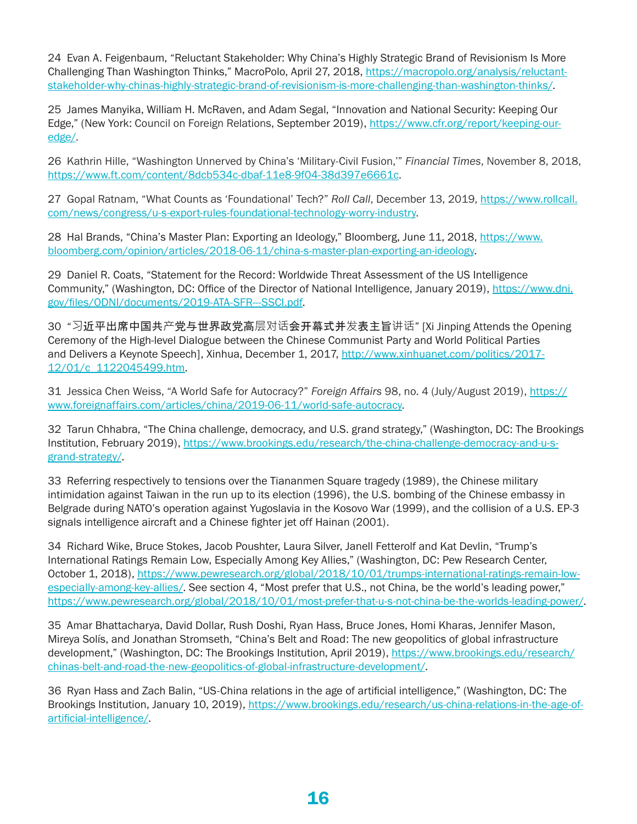<span id="page-15-0"></span>[24](#page-6-0) Evan A. Feigenbaum, "Reluctant Stakeholder: Why China's Highly Strategic Brand of Revisionism Is More Challenging Than Washington Thinks," MacroPolo, April 27, 2018, [https://macropolo.org/analysis/reluctant](https://macropolo.org/analysis/reluctant-stakeholder-why-chinas-highly-strategic-brand-of-revisionism-is-more-challenging-than-washington-thinks/)[stakeholder-why-chinas-highly-strategic-brand-of-revisionism-is-more-challenging-than-washington-thinks/](https://macropolo.org/analysis/reluctant-stakeholder-why-chinas-highly-strategic-brand-of-revisionism-is-more-challenging-than-washington-thinks/).

[25](#page-6-0) James Manyika, William H. McRaven, and Adam Segal, "Innovation and National Security: Keeping Our Edge," (New York: Council on Foreign Relations, September 2019), [https://www.cfr.org/report/keeping-our](https://www.cfr.org/report/keeping-our-edge/)[edge/.](https://www.cfr.org/report/keeping-our-edge/)

[26](#page-6-0) Kathrin Hille, "Washington Unnerved by China's 'Military-Civil Fusion,'" *Financial Times*, November 8, 2018, <https://www.ft.com/content/8dcb534c-dbaf-11e8-9f04-38d397e6661c>.

[27](#page-6-0) Gopal Ratnam, "What Counts as 'Foundational' Tech?" *Roll Call*, December 13, 2019, [https://www.rollcall.](https://www.rollcall.com/news/congress/u-s-export-rules-foundational-technology-worry-industry) [com/news/congress/u-s-export-rules-foundational-technology-worry-industry.](https://www.rollcall.com/news/congress/u-s-export-rules-foundational-technology-worry-industry)

[28](#page-7-0) Hal Brands, "China's Master Plan: Exporting an Ideology," Bloomberg, June 11, 2018, [https://www.](https://www.bloomberg.com/opinion/articles/2018-06-11/china-s-master-plan-exporting-an-ideology) [bloomberg.com/opinion/articles/2018-06-11/china-s-master-plan-exporting-an-ideology.](https://www.bloomberg.com/opinion/articles/2018-06-11/china-s-master-plan-exporting-an-ideology)

[29](#page-7-0) Daniel R. Coats, "Statement for the Record: Worldwide Threat Assessment of the US Intelligence Community," (Washington, DC: Office of the Director of National Intelligence, January 2019), [https://www.dni.](https://www.dni.gov/files/ODNI/documents/2019-ATA-SFR---SSCI.pdf) [gov/files/ODNI/documents/2019-ATA-SFR---SSCI.pdf.](https://www.dni.gov/files/ODNI/documents/2019-ATA-SFR---SSCI.pdf)

[30](#page-7-0) "习近平出席中国共产党与世界政党高层对话会开幕式并发表主旨讲话" [Xi Jinping Attends the Opening Ceremony of the High-level Dialogue between the Chinese Communist Party and World Political Parties and Delivers a Keynote Speech], Xinhua, December 1, 2017, [http://www.xinhuanet.com/politics/2017-](http://www.xinhuanet.com/politics/2017-12/01/c_1122045499.htm) [12/01/c\\_1122045499.htm.](http://www.xinhuanet.com/politics/2017-12/01/c_1122045499.htm)

[31](#page-7-0) Jessica Chen Weiss, "A World Safe for Autocracy?" *Foreign Affairs* 98, no. 4 (July/August 2019), [https://](https://www.foreignaffairs.com/articles/china/2019-06-11/world-safe-autocracy) [www.foreignaffairs.com/articles/china/2019-06-11/world-safe-autocracy](https://www.foreignaffairs.com/articles/china/2019-06-11/world-safe-autocracy).

[32](#page-7-0) Tarun Chhabra, "The China challenge, democracy, and U.S. grand strategy," (Washington, DC: The Brookings Institution, February 2019), [https://www.brookings.edu/research/the-china-challenge-democracy-and-u-s](https://www.brookings.edu/research/the-china-challenge-democracy-and-u-s-grand-strategy/)[grand-strategy/.](https://www.brookings.edu/research/the-china-challenge-democracy-and-u-s-grand-strategy/)

[33](#page-7-0) Referring respectively to tensions over the Tiananmen Square tragedy (1989), the Chinese military intimidation against Taiwan in the run up to its election (1996), the U.S. bombing of the Chinese embassy in Belgrade during NATO's operation against Yugoslavia in the Kosovo War (1999), and the collision of a U.S. EP-3 signals intelligence aircraft and a Chinese fighter jet off Hainan (2001).

[34](#page-8-0) Richard Wike, Bruce Stokes, Jacob Poushter, Laura Silver, Janell Fetterolf and Kat Devlin, "Trump's International Ratings Remain Low, Especially Among Key Allies," (Washington, DC: Pew Research Center, October 1, 2018), [https://www.pewresearch.org/global/2018/10/01/trumps-international-ratings-remain-low](https://www.pewresearch.org/global/2018/10/01/trumps-international-ratings-remain-low-especially-among-key-allies/)[especially-among-key-allies/](https://www.pewresearch.org/global/2018/10/01/trumps-international-ratings-remain-low-especially-among-key-allies/). See section 4, "Most prefer that U.S., not China, be the world's leading power," [https://www.pewresearch.org/global/2018/10/01/most-prefer-that-u-s-not-china-be-the-worlds-leading-power/.](https://www.pewresearch.org/global/2018/10/01/most-prefer-that-u-s-not-china-be-the-worlds-leading-power/)

[35](#page-8-0) Amar Bhattacharya, David Dollar, Rush Doshi, Ryan Hass, Bruce Jones, Homi Kharas, Jennifer Mason, Mireya Solís, and Jonathan Stromseth, "China's Belt and Road: The new geopolitics of global infrastructure development," (Washington, DC: The Brookings Institution, April 2019), [https://www.brookings.edu/research/](https://www.brookings.edu/research/chinas-belt-and-road-the-new-geopolitics-of-global-infrastructure-development/) [chinas-belt-and-road-the-new-geopolitics-of-global-infrastructure-development/.](https://www.brookings.edu/research/chinas-belt-and-road-the-new-geopolitics-of-global-infrastructure-development/)

[36](#page-9-0) Ryan Hass and Zach Balin, "US-China relations in the age of artificial intelligence," (Washington, DC: The Brookings Institution, January 10, 2019), [https://www.brookings.edu/research/us-china-relations-in-the-age-of](https://www.brookings.edu/research/us-china-relations-in-the-age-of-artificial-intelligence/)[artificial-intelligence/.](https://www.brookings.edu/research/us-china-relations-in-the-age-of-artificial-intelligence/)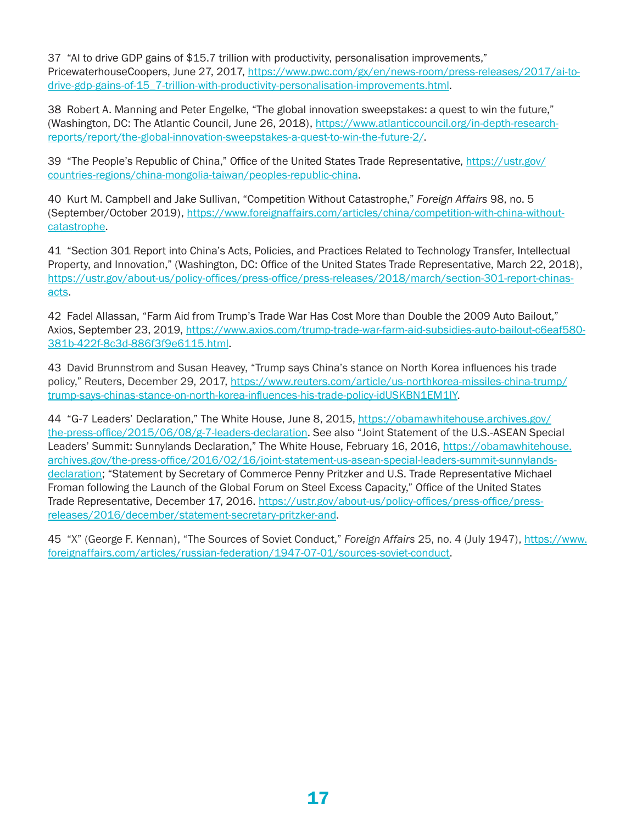<span id="page-16-0"></span>[37](#page-9-0) "AI to drive GDP gains of \$15.7 trillion with productivity, personalisation improvements," PricewaterhouseCoopers, June 27, 2017, [https://www.pwc.com/gx/en/news-room/press-releases/2017/ai-to](https://www.pwc.com/gx/en/news-room/press-releases/2017/ai-to-drive-gdp-gains-of-15_7-trillion-with-productivity-personalisation-improvements.html)[drive-gdp-gains-of-15\\_7-trillion-with-productivity-personalisation-improvements.html.](https://www.pwc.com/gx/en/news-room/press-releases/2017/ai-to-drive-gdp-gains-of-15_7-trillion-with-productivity-personalisation-improvements.html)

[38](#page-9-0) Robert A. Manning and Peter Engelke, "The global innovation sweepstakes: a quest to win the future," (Washington, DC: The Atlantic Council, June 26, 2018), [https://www.atlanticcouncil.org/in-depth-research](https://www.atlanticcouncil.org/in-depth-research-reports/report/the-global-innovation-sweepstakes-a-quest-to-win-the-future-2/)[reports/report/the-global-innovation-sweepstakes-a-quest-to-win-the-future-2/](https://www.atlanticcouncil.org/in-depth-research-reports/report/the-global-innovation-sweepstakes-a-quest-to-win-the-future-2/).

[39](#page-9-0) "The People's Republic of China," Office of the United States Trade Representative, [https://ustr.gov/](https://ustr.gov/countries-regions/china-mongolia-taiwan/peoples-republic-china) [countries-regions/china-mongolia-taiwan/peoples-republic-china](https://ustr.gov/countries-regions/china-mongolia-taiwan/peoples-republic-china).

[40](#page-9-0) Kurt M. Campbell and Jake Sullivan, "Competition Without Catastrophe," *Foreign Affairs* 98, no. 5 (September/October 2019), [https://www.foreignaffairs.com/articles/china/competition-with-china-without](https://www.foreignaffairs.com/articles/china/competition-with-china-without-catastrophe)[catastrophe](https://www.foreignaffairs.com/articles/china/competition-with-china-without-catastrophe).

[41](#page-9-0) "Section 301 Report into China's Acts, Policies, and Practices Related to Technology Transfer, Intellectual Property, and Innovation," (Washington, DC: Office of the United States Trade Representative, March 22, 2018), [https://ustr.gov/about-us/policy-offices/press-office/press-releases/2018/march/section-301-report-chinas](https://ustr.gov/about-us/policy-offices/press-office/press-releases/2018/march/section-301-report-chinas-acts)[acts.](https://ustr.gov/about-us/policy-offices/press-office/press-releases/2018/march/section-301-report-chinas-acts)

[42](#page-9-0) Fadel Allassan, "Farm Aid from Trump's Trade War Has Cost More than Double the 2009 Auto Bailout," Axios, September 23, 2019, [https://www.axios.com/trump-trade-war-farm-aid-subsidies-auto-bailout-c6eaf580-](https://www.axios.com/trump-trade-war-farm-aid-subsidies-auto-bailout-c6eaf580-381b-422f-8c3d-886f3f9e6115.html) [381b-422f-8c3d-886f3f9e6115.html.](https://www.axios.com/trump-trade-war-farm-aid-subsidies-auto-bailout-c6eaf580-381b-422f-8c3d-886f3f9e6115.html)

[43](#page-10-0) David Brunnstrom and Susan Heavey, "Trump says China's stance on North Korea influences his trade policy," Reuters, December 29, 2017, [https://www.reuters.com/article/us-northkorea-missiles-china-trump/](https://www.reuters.com/article/us-northkorea-missiles-china-trump/trump-says-chinas-stance-on-north-korea-influences-his-trade-policy-idUSKBN1EM1IY) [trump-says-chinas-stance-on-north-korea-influences-his-trade-policy-idUSKBN1EM1IY.](https://www.reuters.com/article/us-northkorea-missiles-china-trump/trump-says-chinas-stance-on-north-korea-influences-his-trade-policy-idUSKBN1EM1IY)

[44](#page-10-0) "G-7 Leaders' Declaration," The White House, June 8, 2015, [https://obamawhitehouse.archives.gov/](https://obamawhitehouse.archives.gov/the-press-office/2015/06/08/g-7-leaders-declaration) [the-press-office/2015/06/08/g-7-leaders-declaration.](https://obamawhitehouse.archives.gov/the-press-office/2015/06/08/g-7-leaders-declaration) See also "Joint Statement of the U.S.-ASEAN Special Leaders' Summit: Sunnylands Declaration," The White House, February 16, 2016, [https://obamawhitehouse.](https://obamawhitehouse.archives.gov/the-press-office/2016/02/16/joint-statement-us-asean-special-leaders-summit-sunnylands-declaration) [archives.gov/the-press-office/2016/02/16/joint-statement-us-asean-special-leaders-summit-sunnylands](https://obamawhitehouse.archives.gov/the-press-office/2016/02/16/joint-statement-us-asean-special-leaders-summit-sunnylands-declaration)[declaration](https://obamawhitehouse.archives.gov/the-press-office/2016/02/16/joint-statement-us-asean-special-leaders-summit-sunnylands-declaration); "Statement by Secretary of Commerce Penny Pritzker and U.S. Trade Representative Michael Froman following the Launch of the Global Forum on Steel Excess Capacity," Office of the United States Trade Representative, December 17, 2016. [https://ustr.gov/about-us/policy-offices/press-office/press](https://ustr.gov/about-us/policy-offices/press-office/press-releases/2016/december/statement-secretary-pritzker-and)[releases/2016/december/statement-secretary-pritzker-and](https://ustr.gov/about-us/policy-offices/press-office/press-releases/2016/december/statement-secretary-pritzker-and).

[45](#page-12-0) "X" (George F. Kennan), "The Sources of Soviet Conduct," *Foreign Affairs* 25, no. 4 (July 1947), [https://www.](https://www.foreignaffairs.com/articles/russian-federation/1947-07-01/sources-soviet-conduct) [foreignaffairs.com/articles/russian-federation/1947-07-01/sources-soviet-conduct](https://www.foreignaffairs.com/articles/russian-federation/1947-07-01/sources-soviet-conduct).